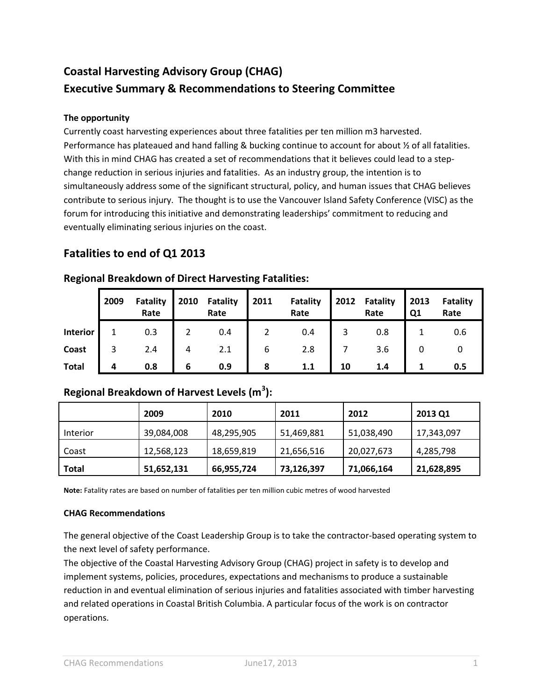# **Coastal Harvesting Advisory Group (CHAG) Executive Summary & Recommendations to Steering Committee**

### **The opportunity**

Currently coast harvesting experiences about three fatalities per ten million m3 harvested. Performance has plateaued and hand falling & bucking continue to account for about ½ of all fatalities. With this in mind CHAG has created a set of recommendations that it believes could lead to a stepchange reduction in serious injuries and fatalities. As an industry group, the intention is to simultaneously address some of the significant structural, policy, and human issues that CHAG believes contribute to serious injury. The thought is to use the Vancouver Island Safety Conference (VISC) as the forum for introducing this initiative and demonstrating leaderships' commitment to reducing and eventually eliminating serious injuries on the coast.

# **Fatalities to end of Q1 2013**

|          | 2009 | <b>Fatality</b><br>Rate |  | 2010 Fatality 2011 Fatality<br>Rate |   | Rate | 2012 Fatality 2013<br>Rate | Q1 | Fatali<br>Rate |
|----------|------|-------------------------|--|-------------------------------------|---|------|----------------------------|----|----------------|
| Interior |      | 0.3                     |  | 0.4                                 |   | 0.4  | 0.8                        |    | 0.6            |
| Coast    |      | 2.4                     |  | 2.1                                 | 6 | 2.8  | 3.6                        |    |                |

## **Regional Breakdown of Direct Harvesting Fatalities:**

# **Regional Breakdown of Harvest Levels (m<sup>3</sup> ):**

|          | 2009       | 2010       | 2011       | 2012       | 2013 Q1    |
|----------|------------|------------|------------|------------|------------|
| Interior | 39,084,008 | 48,295,905 | 51,469,881 | 51,038,490 | 17,343,097 |
| Coast    | 12,568,123 | 18,659,819 | 21,656,516 | 20,027,673 | 4,285,798  |
| Total    | 51,652,131 | 66,955,724 | 73,126,397 | 71,066,164 | 21,628,895 |

**Total 4 0.8 6 0.9 8 1.1 10 1.4 1 0.5**

**Note:** Fatality rates are based on number of fatalities per ten million cubic metres of wood harvested

#### **CHAG Recommendations**

The general objective of the Coast Leadership Group is to take the contractor-based operating system to the next level of safety performance.

The objective of the Coastal Harvesting Advisory Group (CHAG) project in safety is to develop and implement systems, policies, procedures, expectations and mechanisms to produce a sustainable reduction in and eventual elimination of serious injuries and fatalities associated with timber harvesting and related operations in Coastal British Columbia. A particular focus of the work is on contractor operations.

**Fatality Rate**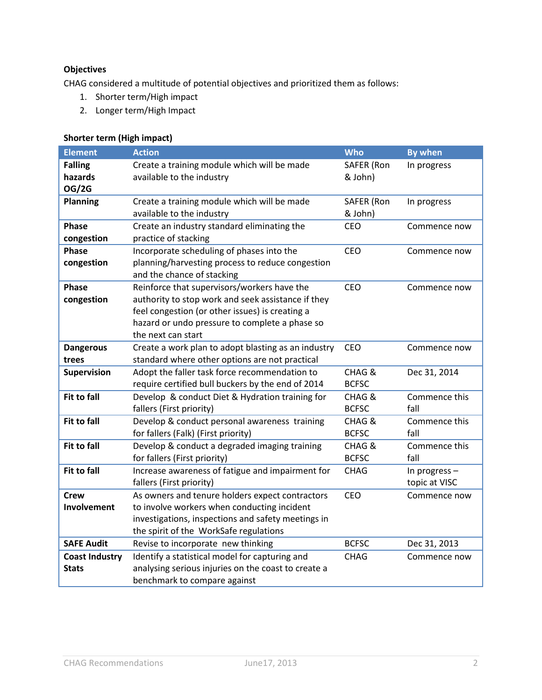# **Objectives**

CHAG considered a multitude of potential objectives and prioritized them as follows:

- 1. Shorter term/High impact
- 2. Longer term/High Impact

### **Shorter term (High impact)**

| <b>Element</b>                            | <b>Action</b>                                                                                                                                                                                                                | <b>Who</b>             | <b>By when</b>                 |
|-------------------------------------------|------------------------------------------------------------------------------------------------------------------------------------------------------------------------------------------------------------------------------|------------------------|--------------------------------|
| <b>Falling</b><br>hazards<br><b>OG/2G</b> | Create a training module which will be made<br>available to the industry                                                                                                                                                     | SAFER (Ron<br>& John)  | In progress                    |
| <b>Planning</b>                           | Create a training module which will be made<br>available to the industry                                                                                                                                                     | SAFER (Ron<br>& John)  | In progress                    |
| <b>Phase</b><br>congestion                | Create an industry standard eliminating the<br>practice of stacking                                                                                                                                                          | CEO                    | Commence now                   |
| <b>Phase</b><br>congestion                | Incorporate scheduling of phases into the<br>planning/harvesting process to reduce congestion<br>and the chance of stacking                                                                                                  | CEO                    | Commence now                   |
| <b>Phase</b><br>congestion                | Reinforce that supervisors/workers have the<br>authority to stop work and seek assistance if they<br>feel congestion (or other issues) is creating a<br>hazard or undo pressure to complete a phase so<br>the next can start | CEO                    | Commence now                   |
| <b>Dangerous</b><br>trees                 | Create a work plan to adopt blasting as an industry<br>standard where other options are not practical                                                                                                                        | CEO                    | Commence now                   |
| <b>Supervision</b>                        | Adopt the faller task force recommendation to<br>require certified bull buckers by the end of 2014                                                                                                                           | CHAG &<br><b>BCFSC</b> | Dec 31, 2014                   |
| <b>Fit to fall</b>                        | Develop & conduct Diet & Hydration training for<br>fallers (First priority)                                                                                                                                                  | CHAG &<br><b>BCFSC</b> | Commence this<br>fall          |
| <b>Fit to fall</b>                        | Develop & conduct personal awareness training<br>for fallers (Falk) (First priority)                                                                                                                                         | CHAG &<br><b>BCFSC</b> | Commence this<br>fall          |
| <b>Fit to fall</b>                        | Develop & conduct a degraded imaging training<br>for fallers (First priority)                                                                                                                                                | CHAG &<br><b>BCFSC</b> | Commence this<br>fall          |
| <b>Fit to fall</b>                        | Increase awareness of fatigue and impairment for<br>fallers (First priority)                                                                                                                                                 | <b>CHAG</b>            | In progress -<br>topic at VISC |
| <b>Crew</b><br>Involvement                | As owners and tenure holders expect contractors<br>to involve workers when conducting incident<br>investigations, inspections and safety meetings in<br>the spirit of the WorkSafe regulations                               | <b>CEO</b>             | Commence now                   |
| <b>SAFE Audit</b>                         | Revise to incorporate new thinking                                                                                                                                                                                           | <b>BCFSC</b>           | Dec 31, 2013                   |
| <b>Coast Industry</b><br><b>Stats</b>     | Identify a statistical model for capturing and<br>analysing serious injuries on the coast to create a<br>benchmark to compare against                                                                                        | <b>CHAG</b>            | Commence now                   |